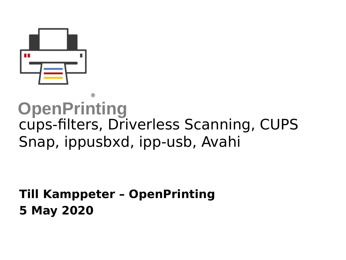

#### **OpenPrinting** ® cups-filters, Driverless Scanning, CUPS Snap, ippusbxd, ipp-usb, Avahi

#### **Till Kamppeter – OpenPrinting 5 May 2020**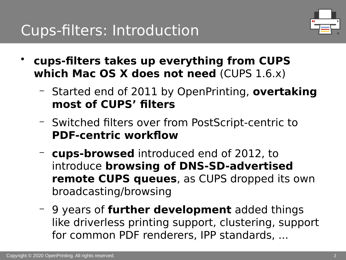

- **cups-filters takes up everything from CUPS which Mac OS X does not need** (CUPS 1.6.x)
	- Started end of 2011 by OpenPrinting, **overtaking most of CUPS' filters**
	- Switched filters over from PostScript-centric to **PDF-centric workflow**
	- **cups-browsed** introduced end of 2012, to introduce **browsing of DNS-SD-advertised remote CUPS queues**, as CUPS dropped its own broadcasting/browsing
	- 9 years of **further development** added things like driverless printing support, clustering, support for common PDF renderers, IPP standards, ...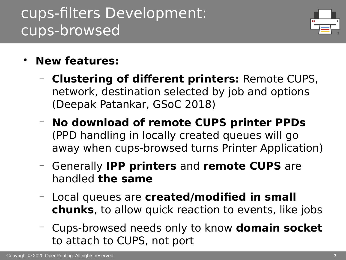## cups-filters Development: cups-browsed



- **New features:**
	- **Clustering of different printers:** Remote CUPS, network, destination selected by job and options (Deepak Patankar, GSoC 2018)
	- **No download of remote CUPS printer PPDs** (PPD handling in locally created queues will go away when cups-browsed turns Printer Application)
	- Generally **IPP printers** and **remote CUPS** are handled **the same**
	- Local queues are **created/modified in small chunks**, to allow quick reaction to events, like jobs
	- Cups-browsed needs only to know **domain socket** to attach to CUPS, not port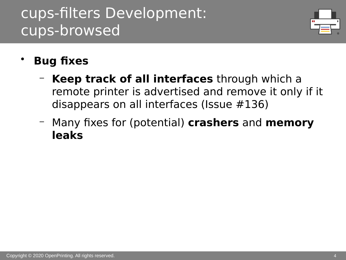## cups-filters Development: cups-browsed



- **Bug fixes**
	- **Keep track of all interfaces** through which a remote printer is advertised and remove it only if it disappears on all interfaces (Issue #136)
	- Many fixes for (potential) **crashers** and **memory leaks**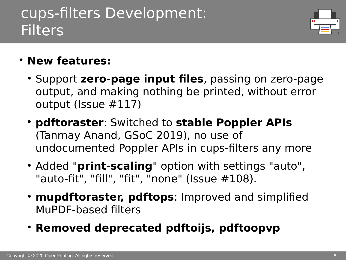## cups-filters Development: **Filters**



- **New features:**
	- Support **zero-page input files**, passing on zero-page output, and making nothing be printed, without error output (Issue #117)
	- **pdftoraster**: Switched to **stable Poppler APIs** (Tanmay Anand, GSoC 2019), no use of undocumented Poppler APIs in cups-filters any more
	- Added "**print-scaling**" option with settings "auto", "auto-fit", "fill", "fit", "none" (Issue #108).
	- **mupdftoraster, pdftops**: Improved and simplified MuPDF-based filters
	- **Removed deprecated pdftoijs, pdftoopvp**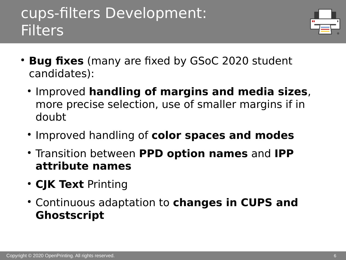#### cups-filters Development: **Filters**



- **Bug fixes** (many are fixed by GSoC 2020 student candidates):
	- **Improved handling of margins and media sizes**, more precise selection, use of smaller margins if in doubt
	- **Improved handling of color spaces and modes**
	- Transition between **PPD option names** and **IPP attribute names**
	- **CJK Text** Printing
	- Continuous adaptation to **changes in CUPS and Ghostscript**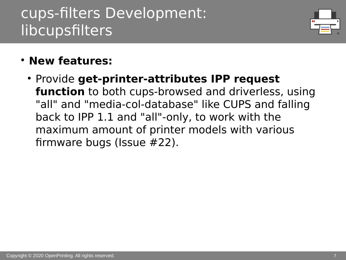## cups-filters Development: libcupsfilters



- **New features:**
	- Provide **get-printer-attributes IPP request function** to both cups-browsed and driverless, using "all" and "media-col-database" like CUPS and falling back to IPP 1.1 and "all"-only, to work with the maximum amount of printer models with various firmware bugs (Issue #22).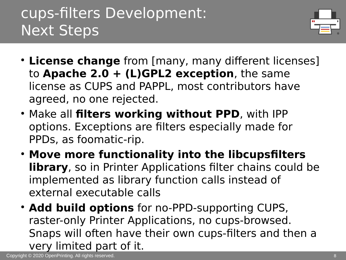# cups-filters Development: Next Steps



- License change from [many, many different licenses] to **Apache 2.0 + (L)GPL2 exception**, the same license as CUPS and PAPPL, most contributors have agreed, no one rejected.
- Make all **filters working without PPD**, with IPP options. Exceptions are filters especially made for PPDs, as foomatic-rip.
- **Move more functionality into the libcupsfilters library**, so in Printer Applications filter chains could be implemented as library function calls instead of external executable calls
- **Add build options** for no-PPD-supporting CUPS, raster-only Printer Applications, no cups-browsed. Snaps will often have their own cups-filters and then a very limited part of it.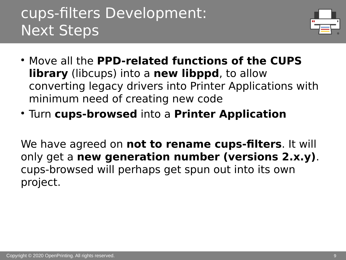## cups-filters Development: Next Steps



- Move all the **PPD-related functions of the CUPS library** (libcups) into a **new libppd**, to allow converting legacy drivers into Printer Applications with minimum need of creating new code
- Turn **cups-browsed** into a **Printer Application**

We have agreed on **not to rename cups-filters**. It will only get a **new generation number (versions 2.x.y)**. cups-browsed will perhaps get spun out into its own project.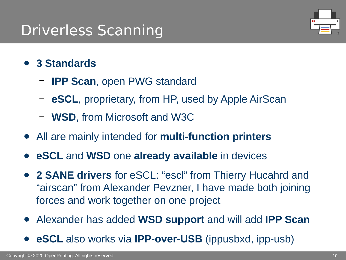## Driverless Scanning



- **3 Standards**
	- **IPP Scan**, open PWG standard
	- **eSCL**, proprietary, from HP, used by Apple AirScan
	- **WSD**, from Microsoft and W3C
- All are mainly intended for **multi-function printers**
- **eSCL** and **WSD** one **already available** in devices
- **2 SANE drivers** for eSCL: "escl" from Thierry Hucahrd and "airscan" from Alexander Pevzner, I have made both joining forces and work together on one project
- Alexander has added **WSD support** and will add **IPP Scan**
- **eSCL** also works via **IPP-over-USB** (ippusbxd, ipp-usb)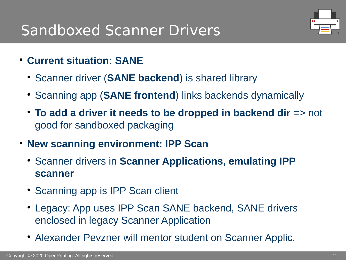## Sandboxed Scanner Drivers



- **Current situation: SANE**
	- Scanner driver (**SANE backend**) is shared library
	- Scanning app (**SANE frontend**) links backends dynamically
	- **To add a driver it needs to be dropped in backend dir** => not good for sandboxed packaging
- **New scanning environment: IPP Scan**
	- **Scanner drivers in Scanner Applications, emulating IPP scanner**
	- Scanning app is IPP Scan client
	- Legacy: App uses IPP Scan SANE backend, SANE drivers enclosed in legacy Scanner Application
	- Alexander Pevzner will mentor student on Scanner Applic.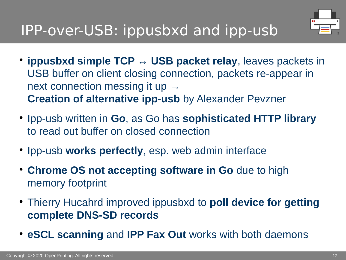

- ippusbxd simple TCP ↔ USB packet relay, leaves packets in USB buffer on client closing connection, packets re-appear in next connection messing it up  $\rightarrow$ **Creation of alternative ipp-usb** by Alexander Pevzner
- **Ipp-usb written in Go, as Go has sophisticated HTTP library** to read out buffer on closed connection
- Ipp-usb works perfectly, esp. web admin interface
- **Chrome OS not accepting software in Go** due to high memory footprint
- Thierry Hucahrd improved ippusbxd to **poll device for getting complete DNS-SD records**
- **eSCL scanning** and **IPP Fax Out** works with both daemons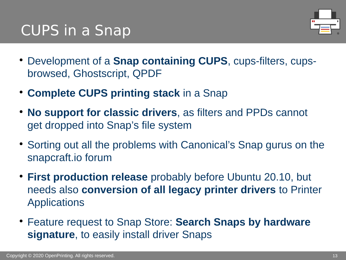## CUPS in a Snap



- Development of a **Snap containing CUPS**, cups-filters, cupsbrowsed, Ghostscript, QPDF
- **Complete CUPS printing stack** in a Snap
- **No support for classic drivers**, as filters and PPDs cannot get dropped into Snap's file system
- Sorting out all the problems with Canonical's Snap gurus on the snapcraft.io forum
- **First production release** probably before Ubuntu 20.10, but needs also **conversion of all legacy printer drivers** to Printer Applications
- Feature request to Snap Store: **Search Snaps by hardware signature**, to easily install driver Snaps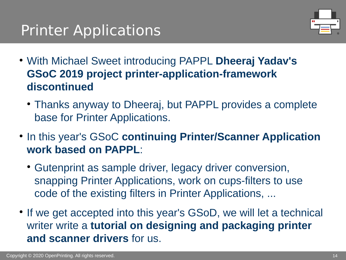# Printer Applications



- With Michael Sweet introducing PAPPL **Dheeraj Yadav's GSoC 2019 project printer-application-framework discontinued**
	- Thanks anyway to Dheeraj, but PAPPL provides a complete base for Printer Applications.
- **In this year's GSoC continuing Printer/Scanner Application work based on PAPPL**:
	- Gutenprint as sample driver, legacy driver conversion, snapping Printer Applications, work on cups-filters to use code of the existing filters in Printer Applications, ...
- If we get accepted into this year's GSoD, we will let a technical writer write a **tutorial on designing and packaging printer and scanner drivers** for us.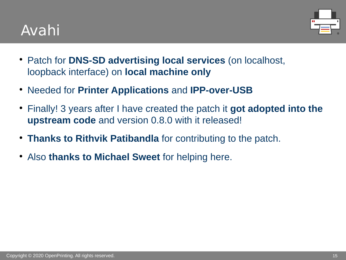## Avahi



- Patch for **DNS-SD advertising local services** (on localhost, loopback interface) on **local machine only**
- Needed for **Printer Applications** and **IPP-over-USB**
- Finally! 3 years after I have created the patch it **got adopted into the upstream code** and version 0.8.0 with it released!
- **Thanks to Rithvik Patibandla** for contributing to the patch.
- Also **thanks to Michael Sweet** for helping here.